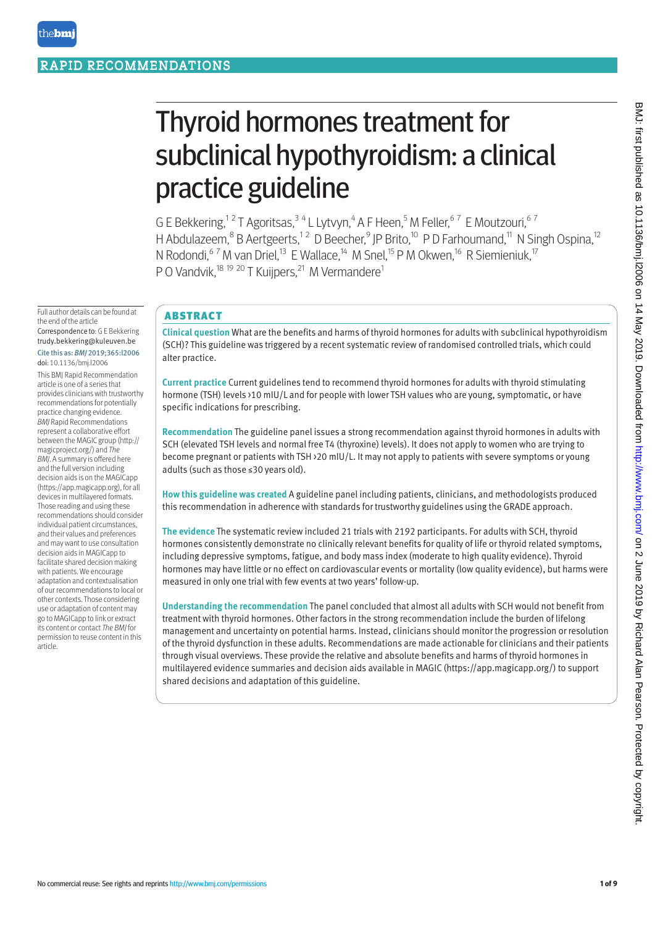# Thyroid hormones treatment for subclinical hypothyroidism: a clinical practice guideline

G E Bekkering,<sup>12</sup> T Agoritsas,<sup>34</sup> L Lytvyn,<sup>4</sup> A F Heen,<sup>5</sup> M Feller,<sup>67</sup> E Moutzouri,<sup>67</sup> H Abdulazeem,<sup>8</sup> B Aertgeerts,<sup>12</sup> D Beecher,<sup>9</sup> JP Brito,<sup>10</sup> P D Farhoumand,<sup>11</sup> N Singh Ospina,<sup>12</sup> N Rodondi,  $67$  M van Driel,  $13$  E Wallace,  $14$  M Snel,  $15$  P M Okwen,  $16$  R Siemieniuk,  $17$ P O Vandvik,<sup>18 19 20</sup> T Kuijpers,<sup>21</sup> M Vermandere<sup>1</sup>

Full author details can be found at the end of the article Correspondence to: G E Bekkering trudy.bekkering@kuleuven.be

#### Cite this as: *BMJ* 2019;365:l2006 doi: 10.1136/bmj.l2006

This BMJ Rapid Recommendation article is one of a series that provides clinicians with trustworthy recommendations for potentially practice changing evidence. *BMJ* Rapid Recommendations represent a collaborative effort between the MAGIC group (http:// magicproject.org/) and *The BMJ*. A summary is offered here and the full version including decision aids is on the MAGICapp (https://app.magicapp.org), for all devices in multilayered formats. Those reading and using these recommendations should consider individual patient circumstances, and their values and preferences and may want to use consultation decision aids in MAGICapp to facilitate shared decision making with patients. We encourage adaptation and contextualisation of our recommendations to local or other contexts. Those considering use or adaptation of content may go to MAGICapp to link or extract its content or contact *The BMJ* for permission to reuse content in this article.

# ABSTRACT

**Clinical question** What are the benefits and harms of thyroid hormones for adults with subclinical hypothyroidism (SCH)? This guideline was triggered by a recent systematic review of randomised controlled trials, which could alter practice.

**Current practice** Current guidelines tend to recommend thyroid hormones for adults with thyroid stimulating hormone (TSH) levels >10 mIU/L and for people with lower TSH values who are young, symptomatic, or have specific indications for prescribing.

**Recommendation** The guideline panel issues a strong recommendation against thyroid hormones in adults with SCH (elevated TSH levels and normal free T4 (thyroxine) levels). It does not apply to women who are trying to become pregnant or patients with TSH >20 mIU/L. It may not apply to patients with severe symptoms or young adults (such as those ≤30 years old).

**How this guideline was created** A guideline panel including patients, clinicians, and methodologists produced this recommendation in adherence with standards for trustworthy guidelines using the GRADE approach.

**The evidence** The systematic review included 21 trials with 2192 participants. For adults with SCH, thyroid hormones consistently demonstrate no clinically relevant benefits for quality of life or thyroid related symptoms, including depressive symptoms, fatigue, and body mass index (moderate to high quality evidence). Thyroid hormones may have little or no effect on cardiovascular events or mortality (low quality evidence), but harms were measured in only one trial with few events at two years' follow-up.

**Understanding the recommendation** The panel concluded that almost all adults with SCH would not benefit from treatment with thyroid hormones. Other factors in the strong recommendation include the burden of lifelong management and uncertainty on potential harms. Instead, clinicians should monitor the progression or resolution of the thyroid dysfunction in these adults. Recommendations are made actionable for clinicians and their patients through visual overviews. These provide the relative and absolute benefits and harms of thyroid hormones in multilayered evidence summaries and decision aids available in MAGIC (https://app.magicapp.org/) to support shared decisions and adaptation of this guideline.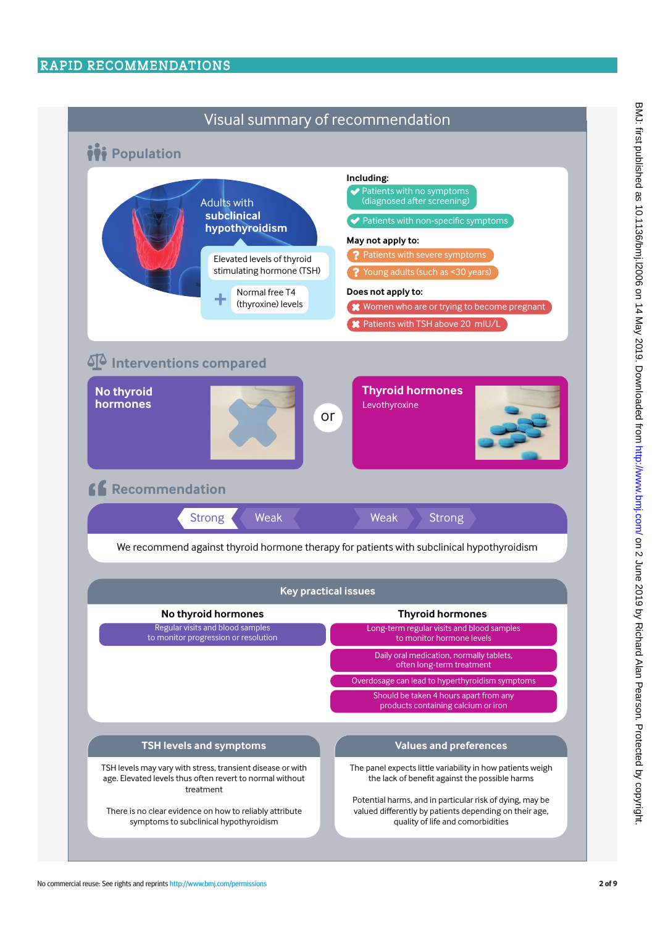# RAPID RECOMMENDATIONS

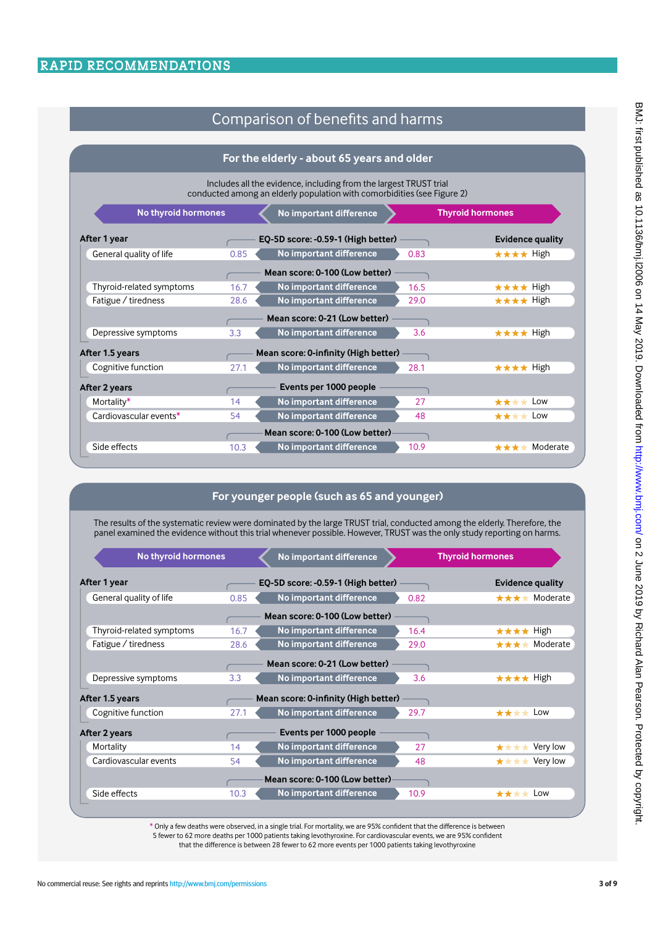# Comparison of benefits and harms

|                                                                                                                                              | For the elderly - about 65 years and older |                                |  |
|----------------------------------------------------------------------------------------------------------------------------------------------|--------------------------------------------|--------------------------------|--|
| Includes all the evidence, including from the largest TRUST trial<br>conducted among an elderly population with comorbidities (see Figure 2) |                                            |                                |  |
| <b>No thyroid hormones</b>                                                                                                                   | No important difference                    | <b>Thyroid hormones</b>        |  |
| After 1 year                                                                                                                                 | EQ-5D score: -0.59-1 (High better)         | <b>Evidence quality</b>        |  |
| General quality of life<br>0.85                                                                                                              | No important difference<br>0.83            | $\star \star \star \star$ High |  |
|                                                                                                                                              | Mean score: 0-100 (Low better)             |                                |  |
| Thyroid-related symptoms<br>16.7                                                                                                             | No important difference<br>16.5            | ★★★★ High                      |  |
| Fatigue / tiredness<br>28.6                                                                                                                  | No important difference<br>29.0            | ★★★★ High                      |  |
|                                                                                                                                              | Mean score: 0-21 (Low better)              |                                |  |
| Depressive symptoms<br>3.3                                                                                                                   | No important difference<br>3.6             | ★★★★ High                      |  |
| After 1.5 years                                                                                                                              | Mean score: 0-infinity (High better)       |                                |  |
| Cognitive function<br>27.1                                                                                                                   | No important difference<br>28.1            | ★★★★ High                      |  |
| After 2 years                                                                                                                                | Events per 1000 people                     |                                |  |
| Mortality*<br>14                                                                                                                             | No important difference<br>27              | $\star\star\star\star$ Low     |  |
| Cardiovascular events*<br>54                                                                                                                 | No important difference<br>48              | $\star \star \star \star$ Low  |  |
|                                                                                                                                              | Mean score: 0-100 (Low better)             |                                |  |
| Side effects<br>10.3                                                                                                                         | No important difference<br>10.9            | Moderate<br>****               |  |

# **For younger people (such as 65 and younger)**

The results of the systematic review were dominated by the large TRUST trial, conducted among the elderly. Therefore, the panel examined the evidence without this trial whenever possible. However, TRUST was the only study reporting on harms.

| <b>No thyroid hormones</b>                              |      | No important difference            |      | <b>Thyroid hormones</b> |
|---------------------------------------------------------|------|------------------------------------|------|-------------------------|
| After 1 year                                            |      | EQ-5D score: -0.59-1 (High better) |      | <b>Evidence quality</b> |
| General quality of life                                 | 0.85 | No important difference            | 0.82 | Moderate<br>****        |
|                                                         |      | Mean score: 0-100 (Low better)     |      |                         |
| Thyroid-related symptoms                                | 16.7 | No important difference            | 16.4 | ★★★★ High               |
| Fatigue / tiredness                                     | 28.6 | No important difference            | 29.0 | Moderate<br>****        |
|                                                         |      | Mean score: 0-21 (Low better)      |      |                         |
| Depressive symptoms                                     | 3.3  | No important difference            | 3.6  | ★★★★ High               |
| After 1.5 years<br>Mean score: 0-infinity (High better) |      |                                    |      |                         |
| Cognitive function                                      | 27.1 | No important difference            | 29.7 | ****<br>Low             |
| After 2 years                                           |      | Events per 1000 people             |      |                         |
| Mortality                                               | 14   | No important difference            | 27   | Very low<br>****        |
| Cardiovascular events                                   | 54   | No important difference            | 48   | Very low<br>****        |
|                                                         |      | Mean score: 0-100 (Low better)     |      |                         |
| Side effects                                            | 10.3 | No important difference            | 10.9 | ****<br>Low             |
|                                                         |      |                                    |      |                         |

<sup>\*</sup> Only a few deaths were observed, in a single trial. For mortality, we are 95% confident that the difference is between

5 fewer to 62 more deaths per 1000 patients taking levothyroxine. For cardiovascular events, we are 95% confident that the difference is between 28 fewer to 62 more events per 1000 patients taking levothyroxine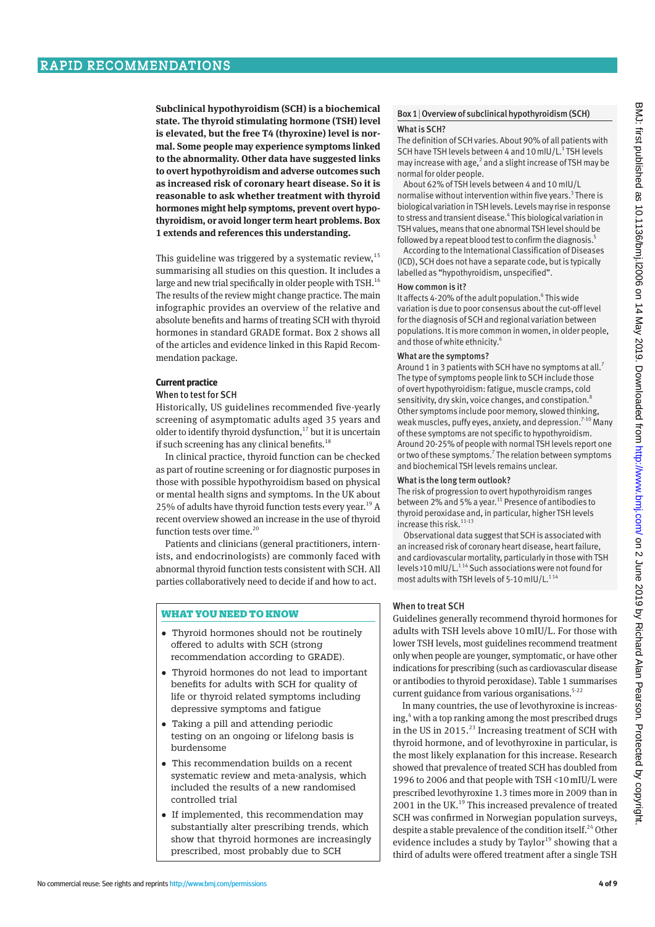**Subclinical hypothyroidism (SCH) is a biochemical state. The thyroid stimulating hormone (TSH) level is elevated, but the free T4 (thyroxine) level is normal. Some people may experience symptoms linked to the abnormality. Other data have suggested links to overt hypothyroidism and adverse outcomes such as increased risk of coronary heart disease. So it is reasonable to ask whether treatment with thyroid hormones might help symptoms, prevent overt hypothyroidism, or avoid longer term heart problems. Box 1 extends and references this understanding.**

This guideline was triggered by a systematic review, $^{15}$ summarising all studies on this question. It includes a large and new trial specifically in older people with TSH.<sup>16</sup> The results of the review might change practice. The main infographic provides an overview of the relative and absolute benefits and harms of treating SCH with thyroid hormones in standard GRADE format. Box 2 shows all of the articles and evidence linked in this Rapid Recommendation package.

#### **Current practice**

#### When to test for SCH

Historically, US guidelines recommended five-yearly screening of asymptomatic adults aged 35 years and older to identify thyroid dysfunction,<sup>17</sup> but it is uncertain if such screening has any clinical benefits.<sup>18</sup>

In clinical practice, thyroid function can be checked as part of routine screening or for diagnostic purposes in those with possible hypothyroidism based on physical or mental health signs and symptoms. In the UK about 25% of adults have thyroid function tests every year.<sup>19</sup> A recent overview showed an increase in the use of thyroid function tests over time.<sup>20</sup>

Patients and clinicians (general practitioners, internists, and endocrinologists) are commonly faced with abnormal thyroid function tests consistent with SCH. All parties collaboratively need to decide if and how to act.

#### WHAT YOU NEED TO KNOW

- •  Thyroid hormones should not be routinely offered to adults with SCH (strong recommendation according to GRADE).
- •  Thyroid hormones do not lead to important benefits for adults with SCH for quality of life or thyroid related symptoms including depressive symptoms and fatigue
- •  Taking a pill and attending periodic testing on an ongoing or lifelong basis is burdensome
- •  This recommendation builds on a recent systematic review and meta-analysis, which included the results of a new randomised controlled trial
- If implemented, this recommendation may substantially alter prescribing trends, which show that thyroid hormones are increasingly prescribed, most probably due to SCH

# Box 1|Overview of subclinical hypothyroidism (SCH)

#### What is SCH?

The definition of SCH varies. About 90% of all patients with SCH have TSH levels between 4 and 10 mIU/L.<sup>1</sup> TSH levels may increase with age, $^2$  and a slight increase of TSH may be normal for older people.

About 62% of TSH levels between 4 and 10 mIU/L normalise without intervention within five years.<sup>3</sup> There is biological variation in TSH levels. Levels may rise in response to stress and transient disease.<sup>4</sup> This biological variation in TSH values, means that one abnormal TSH level should be followed by a repeat blood test to confirm the diagnosis.<sup>5</sup>

According to the International Classification of Diseases (ICD), SCH does not have a separate code, but is typically labelled as "hypothyroidism, unspecified".

#### How common is it?

It affects 4-20% of the adult population.<sup>6</sup> This wide variation is due to poor consensus about the cut-off level for the diagnosis of SCH and regional variation between populations. It is more common in women, in older people, and those of white ethnicity.<sup>6</sup>

#### What are the symptoms?

Around 1 in 3 patients with SCH have no symptoms at all.<sup>7</sup> The type of symptoms people link to SCH include those of overt hypothyroidism: fatigue, muscle cramps, cold sensitivity, dry skin, voice changes, and constipation.<sup>8</sup> Other symptoms include poor memory, slowed thinking, weak muscles, puffy eyes, anxiety, and depression.<sup>7-10</sup> Many of these symptoms are not specific to hypothyroidism. Around 20-25% of people with normal TSH levels report one or two of these symptoms.<sup>7</sup> The relation between symptoms and biochemical TSH levels remains unclear.

#### What is the long term outlook?

The risk of progression to overt hypothyroidism ranges between 2% and 5% a year.<sup>11</sup> Presence of antibodies to thyroid peroxidase and, in particular, higher TSH levels increase this risk. $11-13$ 

Observational data suggest that SCH is associated with an increased risk of coronary heart disease, heart failure, and cardiovascular mortality, particularly in those with TSH levels >10 mIU/L.<sup>114</sup> Such associations were not found for most adults with TSH levels of 5-10 mIU/L.<sup>114</sup>

#### When to treat SCH

Guidelines generally recommend thyroid hormones for adults with TSH levels above 10 mIU/L. For those with lower TSH levels, most guidelines recommend treatment only when people are younger, symptomatic, or have other indications for prescribing (such as cardiovascular disease or antibodies to thyroid peroxidase). Table 1 summarises current guidance from various organisations. $5-22$ 

In many countries, the use of levothyroxine is increasing,<sup>4</sup> with a top ranking among the most prescribed drugs in the US in 2015. $^{23}$  Increasing treatment of SCH with thyroid hormone, and of levothyroxine in particular, is the most likely explanation for this increase. Research showed that prevalence of treated SCH has doubled from 1996 to 2006 and that people with TSH <10mIU/L were prescribed levothyroxine 1.3 times more in 2009 than in 2001 in the UK.<sup>19</sup> This increased prevalence of treated SCH was confirmed in Norwegian population surveys, despite a stable prevalence of the condition itself.<sup>24</sup> Other evidence includes a study by Taylor<sup>19</sup> showing that a third of adults were offered treatment after a single TSH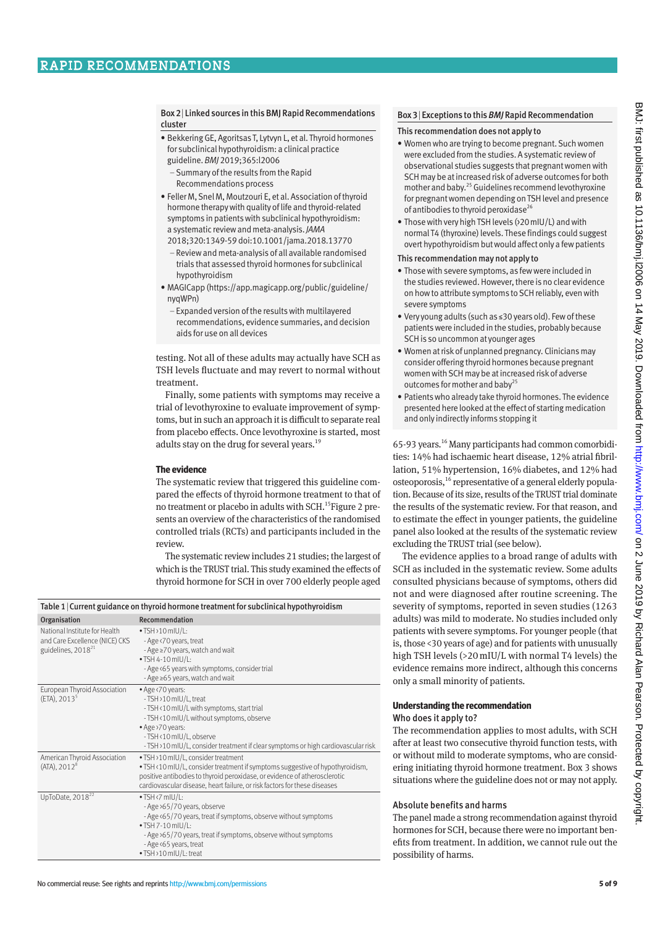Box 2| Linked sources in this BMJ Rapid Recommendations cluster

- Bekkering GE, Agoritsas T, Lytvyn L, et al. Thyroid hormones for subclinical hypothyroidism: a clinical practice guideline. *BMJ* 2019;365:l2006
	- Summary of the results from the Rapid Recommendations process
- Feller M, Snel M, Moutzouri E, et al. Association of thyroid hormone therapy with quality of life and thyroid-related symptoms in patients with subclinical hypothyroidism: a systematic review and meta-analysis. *JAMA* 2018;320:1349-59 doi:10.1001/jama.2018.13770
	- Review and meta-analysis of all available randomised trials that assessed thyroid hormones for subclinical hypothyroidism
- MAGICapp (https://app.magicapp.org/public/guideline/ nyqWPn)
	- Expanded version of the results with multilayered recommendations, evidence summaries, and decision aids for use on all devices

testing. Not all of these adults may actually have SCH as TSH levels fluctuate and may revert to normal without treatment.

Finally, some patients with symptoms may receive a trial of levothyroxine to evaluate improvement of symptoms, but in such an approach it is difficult to separate real from placebo effects. Once levothyroxine is started, most adults stay on the drug for several years.<sup>19</sup>

#### **The evidence**

The systematic review that triggered this guideline compared the effects of thyroid hormone treatment to that of no treatment or placebo in adults with SCH.<sup>15</sup>Figure 2 presents an overview of the characteristics of the randomised controlled trials (RCTs) and participants included in the review.

The systematic review includes 21 studies; the largest of which is the TRUST trial. This study examined the effects of thyroid hormone for SCH in over 700 elderly people aged

| Table 1   Current guidance on thyroid hormone treatment for subclinical hypothyroidism     |                                                                                                                                                                                                                                                                                 |  |
|--------------------------------------------------------------------------------------------|---------------------------------------------------------------------------------------------------------------------------------------------------------------------------------------------------------------------------------------------------------------------------------|--|
| Organisation                                                                               | Recommendation                                                                                                                                                                                                                                                                  |  |
| National Institute for Health<br>and Care Excellence (NICE) CKS<br>guidelines, $2018^{21}$ | $\cdot$ TSH >10 mIU/L:<br>- Age <70 years, treat<br>- Age ≥70 years, watch and wait<br>$\cdot$ TSH 4-10 mIU/L:<br>- Age < 65 years with symptoms, consider trial<br>- Age ≥65 years, watch and wait                                                                             |  |
| European Thyroid Association<br>$(ETA)$ , 2013 <sup>5</sup>                                | • Age <70 years:<br>-TSH >10 mIU/L, treat<br>- TSH < 10 mIU/L with symptoms, start trial<br>- TSH < 10 mIU/L without symptoms, observe<br>• Age >70 years:<br>-TSH <10 mIU/L, observe<br>- TSH > 10 mIU/L, consider treatment if clear symptoms or high cardiovascular risk     |  |
| American Thyroid Association<br>(ATA), 2012 <sup>8</sup>                                   | • TSH > 10 mIU/L, consider treatment<br>. TSH <10 mIU/L, consider treatment if symptoms suggestive of hypothyroidism,<br>positive antibodies to thyroid peroxidase, or evidence of atherosclerotic<br>cardiovascular disease, heart failure, or risk factors for these diseases |  |
| UpToDate, $2018^{22}$                                                                      | $\bullet$ TSH <7 mIU/L:<br>- Age > 65/70 years, observe<br>- Age < 65/70 years, treat if symptoms, observe without symptoms<br>• TSH 7-10 mIU/L:<br>- Age >65/70 years, treat if symptoms, observe without symptoms<br>- Age < 65 years, treat<br>• TSH >10 mIU/L: treat        |  |

#### Box 3| Exceptions to this *BMJ* Rapid Recommendation

#### This recommendation does not apply to

- Women who are trying to become pregnant. Such women were excluded from the studies. A systematic review of observational studies suggests that pregnant women with SCH may be at increased risk of adverse outcomes for both mother and baby.25 Guidelines recommend levothyroxine for pregnant women depending on TSH level and presence of antibodies to thyroid peroxidase<sup>26</sup>
- Those with very high TSH levels (>20mIU/L) and with normal T4 (thyroxine) levels. These findings could suggest overt hypothyroidism but would affect only a few patients

#### This recommendation may not apply to

- Those with severe symptoms, as few were included in the studies reviewed. However, there is no clear evidence on how to attribute symptoms to SCH reliably, even with severe symptoms
- Very young adults (such as ≤30 years old). Few of these patients were included in the studies, probably because SCH is so uncommon at younger ages
- Women at risk of unplanned pregnancy. Clinicians may consider offering thyroid hormones because pregnant women with SCH may be at increased risk of adverse outcomes for mother and baby<sup>25</sup>
- Patients who already take thyroid hormones. The evidence presented here looked at the effect of starting medication and only indirectly informs stopping it

65-93 years.16 Many participants had common comorbidities: 14% had ischaemic heart disease, 12% atrial fibrillation, 51% hypertension, 16% diabetes, and 12% had osteoporosis,<sup>16</sup> representative of a general elderly population. Because of its size, results of the TRUST trial dominate the results of the systematic review. For that reason, and to estimate the effect in younger patients, the guideline panel also looked at the results of the systematic review excluding the TRUST trial (see below).

The evidence applies to a broad range of adults with SCH as included in the systematic review. Some adults consulted physicians because of symptoms, others did not and were diagnosed after routine screening. The severity of symptoms, reported in seven studies (1263 adults) was mild to moderate. No studies included only patients with severe symptoms. For younger people (that is, those <30 years of age) and for patients with unusually high TSH levels (>20mIU/L with normal T4 levels) the evidence remains more indirect, although this concerns only a small minority of patients.

#### **Understanding the recommendation** Who does it apply to?

The recommendation applies to most adults, with SCH after at least two consecutive thyroid function tests, with or without mild to moderate symptoms, who are considering initiating thyroid hormone treatment. Box 3 shows situations where the guideline does not or may not apply.

#### Absolute benefits and harms

The panel made a strong recommendation against thyroid hormones for SCH, because there were no important benefits from treatment. In addition, we cannot rule out the possibility of harms.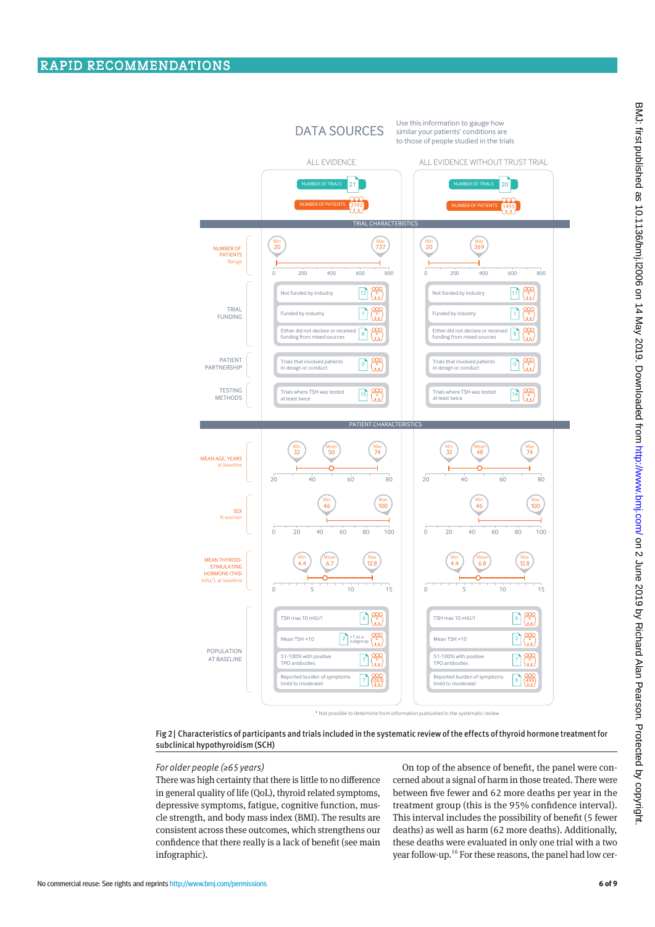

Fig 2| Characteristics of participants and trials included in the systematic review of the effects of thyroid hormone treatment for subclinical hypothyroidism (SCH)

#### *For older people (≥65 years)*

There was high certainty that there is little to no difference in general quality of life (QoL), thyroid related symptoms, depressive symptoms, fatigue, cognitive function, muscle strength, and body mass index (BMI). The results are consistent across these outcomes, which strengthens our confidence that there really is a lack of benefit (see main infographic).

On top of the absence of benefit, the panel were concerned about a signal of harm in those treated. There were between five fewer and 62 more deaths per year in the treatment group (this is the 95% confidence interval). This interval includes the possibility of benefit (5 fewer deaths) as well as harm (62 more deaths). Additionally, these deaths were evaluated in only one trial with a two year follow-up.<sup>16</sup> For these reasons, the panel had low cer-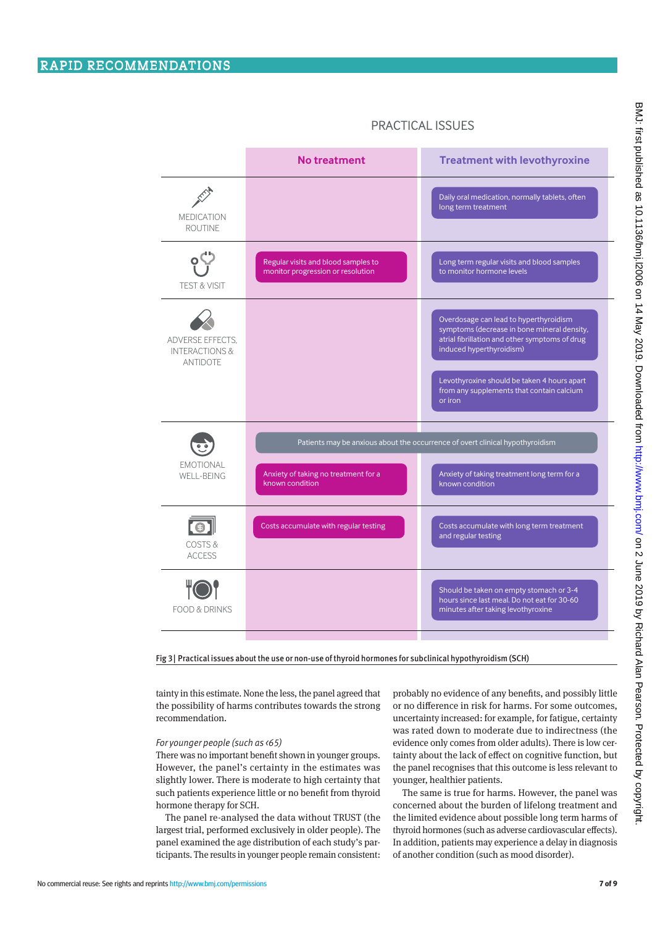|                                                                  | <b>No treatment</b>                                                      | <b>Treatment with levothyroxine</b>                                                                                                                                                                                                                                        |
|------------------------------------------------------------------|--------------------------------------------------------------------------|----------------------------------------------------------------------------------------------------------------------------------------------------------------------------------------------------------------------------------------------------------------------------|
| <b>MEDICATION</b><br><b>ROUTINE</b>                              |                                                                          | Daily oral medication, normally tablets, often<br>long term treatment                                                                                                                                                                                                      |
| <b>TEST &amp; VISIT</b>                                          | Regular visits and blood samples to<br>monitor progression or resolution | Long term regular visits and blood samples<br>to monitor hormone levels                                                                                                                                                                                                    |
| ADVERSE EFFECTS.<br><b>INTERACTIONS &amp;</b><br><b>ANTIDOTE</b> |                                                                          | Overdosage can lead to hyperthyroidism<br>symptoms (decrease in bone mineral density,<br>atrial fibrillation and other symptoms of drug<br>induced hyperthyroidism)<br>Levothyroxine should be taken 4 hours apart<br>from any supplements that contain calcium<br>or iron |
| <b>EMOTIONAL</b><br>WELL-BEING                                   | Anxiety of taking no treatment for a<br>known condition                  | Patients may be anxious about the occurrence of overt clinical hypothyroidism<br>Anxiety of taking treatment long term for a<br>known condition                                                                                                                            |
| COSTS&<br><b>ACCESS</b>                                          | Costs accumulate with regular testing                                    | Costs accumulate with long term treatment<br>and regular testing                                                                                                                                                                                                           |
| <b>FOOD &amp; DRINKS</b>                                         |                                                                          | Should be taken on empty stomach or 3-4<br>hours since last meal. Do not eat for 30-60<br>minutes after taking levothyroxine                                                                                                                                               |

# PRACTICAL ISSUES

Fig 3| Practical issues about the use or non-use of thyroid hormones for subclinical hypothyroidism (SCH)

tainty in this estimate. None the less, the panel agreed that the possibility of harms contributes towards the strong recommendation.

#### *For younger people (such as <65)*

There was no important benefit shown in younger groups. However, the panel's certainty in the estimates was slightly lower. There is moderate to high certainty that such patients experience little or no benefit from thyroid hormone therapy for SCH.

The panel re-analysed the data without TRUST (the largest trial, performed exclusively in older people). The panel examined the age distribution of each study's participants. The results in younger people remain consistent: probably no evidence of any benefits, and possibly little or no difference in risk for harms. For some outcomes, uncertainty increased: for example, for fatigue, certainty was rated down to moderate due to indirectness (the evidence only comes from older adults). There is low certainty about the lack of effect on cognitive function, but the panel recognises that this outcome is less relevant to younger, healthier patients.

The same is true for harms. However, the panel was concerned about the burden of lifelong treatment and the limited evidence about possible long term harms of thyroid hormones (such as adverse cardiovascular effects). In addition, patients may experience a delay in diagnosis of another condition (such as mood disorder).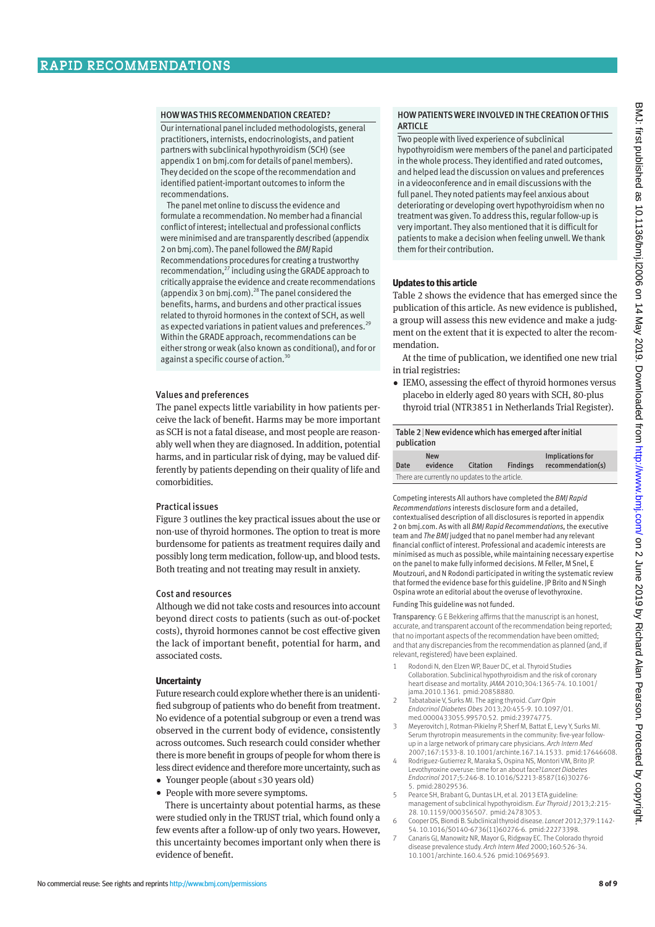# HOW WAS THIS RECOMMENDATION CREATED?

Our international panel included methodologists, general practitioners, internists, endocrinologists, and patient partners with subclinical hypothyroidism (SCH) (see appendix 1 on bmj.com for details of panel members). They decided on the scope of the recommendation and identified patient-important outcomes to inform the recommendations.

The panel met online to discuss the evidence and formulate a recommendation. No member had a financial conflict of interest; intellectual and professional conflicts were minimised and are transparently described (appendix 2 on bmj.com). The panel followed the *BMJ* Rapid Recommendations procedures for creating a trustworthy recommendation,<sup>27</sup> including using the GRADE approach to critically appraise the evidence and create recommendations (appendix 3 on bmj.com).28 The panel considered the benefits, harms, and burdens and other practical issues related to thyroid hormones in the context of SCH, as well as expected variations in patient values and preferences.<sup>29</sup> Within the GRADE approach, recommendations can be either strong or weak (also known as conditional), and for or against a specific course of action.<sup>3</sup>

# Values and preferences

The panel expects little variability in how patients perceive the lack of benefit. Harms may be more important as SCH is not a fatal disease, and most people are reasonably well when they are diagnosed. In addition, potential harms, and in particular risk of dying, may be valued differently by patients depending on their quality of life and comorbidities.

# Practical issues

Figure 3 outlines the key practical issues about the use or non-use of thyroid hormones. The option to treat is more burdensome for patients as treatment requires daily and possibly long term medication, follow-up, and blood tests. Both treating and not treating may result in anxiety.

## Cost and resources

Although we did not take costs and resources into account beyond direct costs to patients (such as out-of-pocket costs), thyroid hormones cannot be cost effective given the lack of important benefit, potential for harm, and associated costs.

## **Uncertainty**

Future research could explore whether there is an unidentified subgroup of patients who do benefit from treatment. No evidence of a potential subgroup or even a trend was observed in the current body of evidence, consistently across outcomes. Such research could consider whether there is more benefit in groups of people for whom there is less direct evidence and therefore more uncertainty, such as

•  Younger people (about ≤30 years old)

• People with more severe symptoms. There is uncertainty about potential harms, as these were studied only in the TRUST trial, which found only a few events after a follow-up of only two years. However, this uncertainty becomes important only when there is evidence of benefit.

Two people with lived experience of subclinical hypothyroidism were members of the panel and participated in the whole process. They identified and rated outcomes, and helped lead the discussion on values and preferences in a videoconference and in email discussions with the full panel. They noted patients may feel anxious about deteriorating or developing overt hypothyroidism when no treatment was given. To address this, regular follow-up is very important. They also mentioned that it is difficult for patients to make a decision when feeling unwell. We thank them for their contribution.

# **Updates to this article**

Table 2 shows the evidence that has emerged since the publication of this article. As new evidence is published, a group will assess this new evidence and make a judgment on the extent that it is expected to alter the recommendation.

At the time of publication, we identified one new trial in trial registries:

• IEMO, assessing the effect of thyroid hormones versus placebo in elderly aged 80 years with SCH, 80-plus thyroid trial (NTR3851 in Netherlands Trial Register).

| Table 2 New evidence which has emerged after initial<br>publication |                  |
|---------------------------------------------------------------------|------------------|
| <b>N</b> aw                                                         | Implications for |

|      | <b>New</b>                                     |          |                 | Implications for  |
|------|------------------------------------------------|----------|-----------------|-------------------|
| Date | evidence                                       | Citation | <b>Findings</b> | recommendation(s) |
|      | There are currently no updates to the article. |          |                 |                   |

Competing interests All authors have completed the *BMJ Rapid Recommendations* interests disclosure form and a detailed, contextualised description of all disclosures is reported in appendix 2 on bmj.com. As with all *BMJ Rapid Recommendations,* the executive team and *The BMJ* judged that no panel member had any relevant financial conflict of interest. Professional and academic interests are minimised as much as possible, while maintaining necessary expertise on the panel to make fully informed decisions. M Feller, M Snel, E Moutzouri, and N Rodondi participated in writing the systematic review that formed the evidence base for this guideline. JP Brito and N Singh Ospina wrote an editorial about the overuse of levothyroxine.

Funding This guideline was not funded.

Transparency: G E Bekkering affirms that the manuscript is an honest, accurate, and transparent account of the recommendation being reported; that no important aspects of the recommendation have been omitted; and that any discrepancies from the recommendation as planned (and, if relevant, registered) have been explained.

- 1 Rodondi N, den Elzen WP, Bauer DC, et al. Thyroid Studies Collaboration. Subclinical hypothyroidism and the risk of coronary heart disease and mortality. *JAMA* 2010;304:1365-74. 10.1001/ jama.2010.1361. pmid:20858880.
- 2 Tabatabaie V, Surks MI. The aging thyroid. *Curr Opin Endocrinol Diabetes Obes* 2013;20:455-9. 10.1097/01. med.0000433055.99570.52. pmid:23974775.
- 3 Meyerovitch J, Rotman-Pikielny P, Sherf M, Battat E, Levy Y, Surks MI. Serum thyrotropin measurements in the community: five-year followup in a large network of primary care physicians. *Arch Intern Med* 2007;167:1533-8. 10.1001/archinte.167.14.1533. pmid:17646608.
- 4 Rodriguez-Gutierrez R, Maraka S, Ospina NS, Montori VM, Brito JP. Levothyroxine overuse: time for an about face?*Lancet Diabetes Endocrinol* 2017;5:246-8. 10.1016/S2213-8587(16)30276- 5. pmid:28029536.
- 5 Pearce SH, Brabant G, Duntas LH, et al. 2013 ETA guideline: management of subclinical hypothyroidism. *Eur Thyroid J* 2013;2:215- 28. 10.1159/000356507. pmid:24783053.
- 6 Cooper DS, Biondi B. Subclinical thyroid disease. *Lancet* 2012;379:1142- 54. 10.1016/S0140-6736(11)60276-6. pmid:22273398.
- 7 Canaris GJ, Manowitz NR, Mayor G, Ridgway EC. The Colorado thyroid disease prevalence study. *Arch Intern Med* 2000;160:526-34. 10.1001/archinte.160.4.526 pmid:10695693.